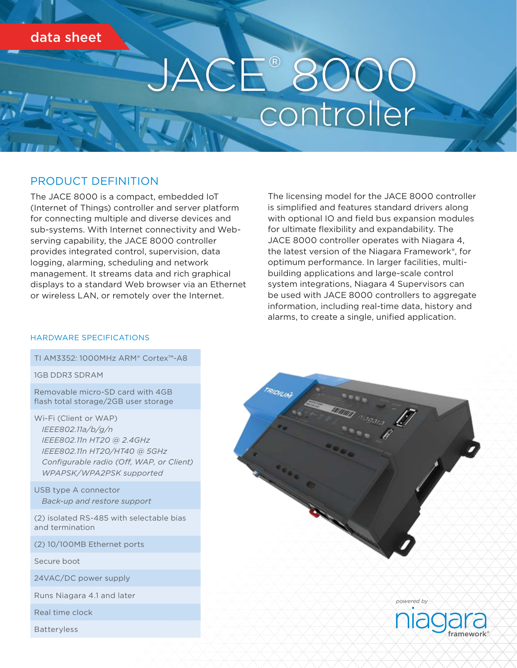# data sheet

# E® 8000<br>controller

### PRODUCT DEFINITION

The JACE 8000 is a compact, embedded IoT (Internet of Things) controller and server platform for connecting multiple and diverse devices and sub-systems. With Internet connectivity and Webserving capability, the JACE 8000 controller provides integrated control, supervision, data logging, alarming, scheduling and network management. It streams data and rich graphical displays to a standard Web browser via an Ethernet or wireless LAN, or remotely over the Internet.

The licensing model for the JACE 8000 controller is simplified and features standard drivers along with optional IO and field bus expansion modules for ultimate flexibility and expandability. The JACE 8000 controller operates with Niagara 4, the latest version of the Niagara Framework®, for optimum performance. In larger facilities, multibuilding applications and large-scale control system integrations, Niagara 4 Supervisors can be used with JACE 8000 controllers to aggregate information, including real-time data, history and alarms, to create a single, unified application.

#### HARDWARE SPECIFICATIONS

#### TI AM3352: 1000MHz ARM® Cortex™-A8

1GB DDR3 SDRAM

Removable micro-SD card with 4GB flash total storage/2GB user storage

Wi-Fi (Client or WAP) *IEEE802.11a/b/g/n IEEE802.11n HT20 @ 2.4GHz IEEE802.11n HT20/HT40 @ 5GHz Configurable radio (Of, WAP, or Client) WPAPSK/WPA2PSK supported*

USB type A connector *Back-up and restore support*

(2) isolated RS-485 with selectable bias and termination

(2) 10/100MB Ethernet ports

Secure boot

24VAC/DC power supply

Runs Niagara 4.1 and later

Real time clock

Batteryless



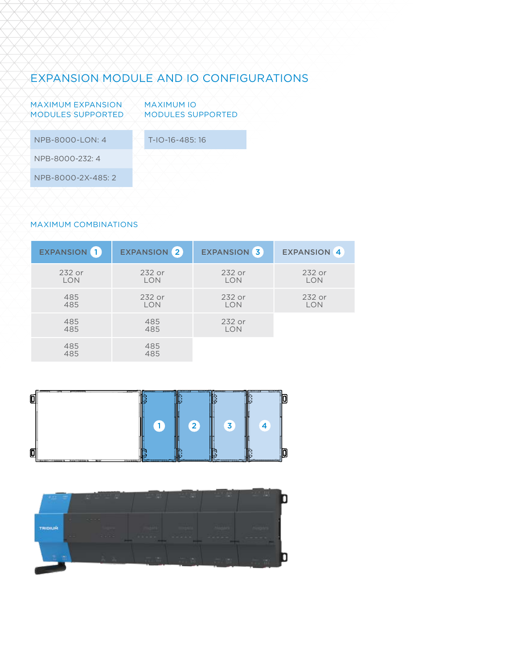## EXPANSION MODULE AND IO CONFIGURATIONS

| <b>MAXIMUM EXPANSION</b><br><b>MODULES SUPPORTED</b> | <b>MAXIMUM IO</b><br><b>MODULES SUPPORTED</b> |  |
|------------------------------------------------------|-----------------------------------------------|--|
| NPB-8000-LON: 4                                      | T-IO-16-485:16                                |  |
| NPB-8000-232: 4                                      |                                               |  |
| NPB-8000-2X-485: 2                                   |                                               |  |
|                                                      |                                               |  |

#### MAXIMUM COMBINATIONS

| EXPANSION <sup>1</sup> | <b>EXPANSION</b> 2 | <b>EXPANSION 3</b>   | <b>EXPANSION 4</b>   |
|------------------------|--------------------|----------------------|----------------------|
| 232 or<br><b>LON</b>   | 232 or<br>LON      | 232 or<br><b>LON</b> | 232 or<br><b>LON</b> |
| 485<br>485             | 232 or<br>LON      | 232 or<br>LON        | 232 or<br><b>LON</b> |
| 485<br>485             | 485<br>485         | 232 or<br>LON        |                      |
| 485<br>485             | 485<br>485         |                      |                      |

| Õ |  |   |  |
|---|--|---|--|
|   |  | 3 |  |
| Q |  |   |  |

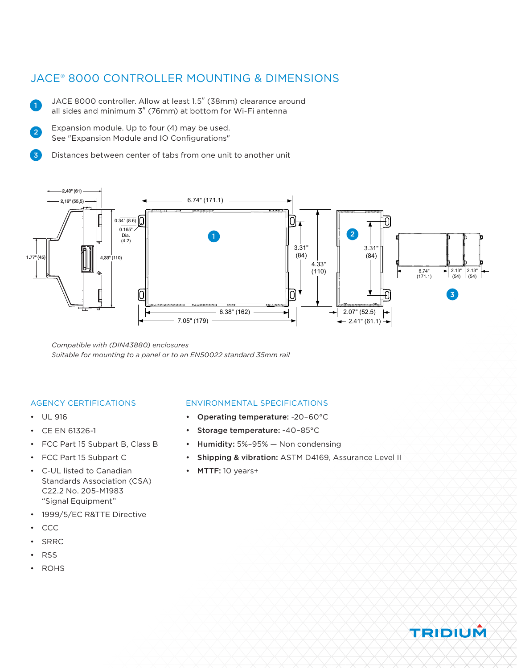## JACE® 8000 CONTROLLER MOUNTING & DIMENSIONS

- JACE 8000 controller. Allow at least 1.5" (38mm) clearance around all sides and minimum 3" (76mm) at bottom for Wi-Fi antenna
- Expansion module. Up to four (4) may be used. See "Expansion Module and IO Configurations" 2
- Distances between center of tabs from one unit to another unit  $\overline{\mathbf{z}}$



*Compatible with (DIN43880) enclosures Suitable for mounting to a panel or to an EN50022 standard 35mm rail*

#### AGENCY CERTIFICATIONS

• UL 916

1

- CE EN 61326-1
- FCC Part 15 Subpart B, Class B
- FCC Part 15 Subpart C
- C-UL listed to Canadian Standards Association (CSA) C22.2 No. 205-M1983 "Signal Equipment"
- 1999/5/EC R&TTE Directive
- CCC
- SRRC
- RSS
- ROHS

#### ENVIRONMENTAL SPECIFICATIONS

- Operating temperature: -20–60°C
- Storage temperature: -40–85°C
- Humidity: 5%–95% Non condensing
- Shipping & vibration: ASTM D4169, Assurance Level II
- MTTF: 10 years+